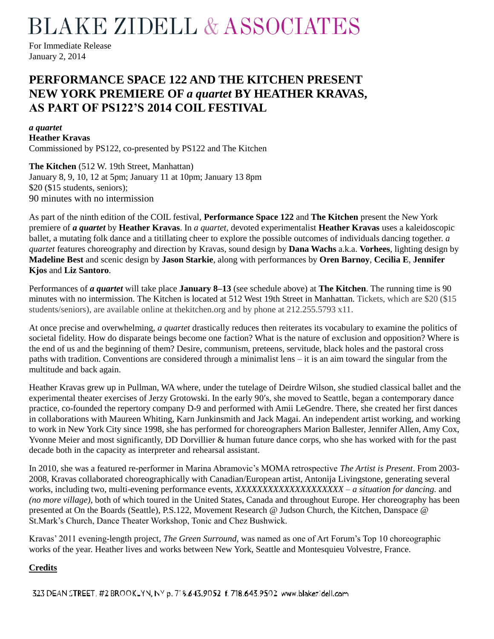## **BLAKE ZIDELL & ASSOCIATES**

For Immediate Release January 2, 2014

### **PERFORMANCE SPACE 122 AND THE KITCHEN PRESENT NEW YORK PREMIERE OF** *a quartet* **BY HEATHER KRAVAS, AS PART OF PS122'S 2014 COIL FESTIVAL**

#### *a quartet*

**Heather Kravas**

Commissioned by PS122, co-presented by PS122 and The Kitchen

**The Kitchen** (512 W. 19th Street, Manhattan) January 8, 9, 10, 12 at 5pm; January 11 at 10pm; January 13 8pm \$20 (\$15 students, seniors); 90 minutes with no intermission

As part of the ninth edition of the COIL festival, **Performance Space 122** and **The Kitchen** present the New York premiere of *a quartet* by **Heather Kravas**. In *a quartet*, devoted experimentalist **Heather Kravas** uses a kaleidoscopic ballet, a mutating folk dance and a titillating cheer to explore the possible outcomes of individuals dancing together. *a quartet* features choreography and direction by Kravas, sound design by **Dana Wachs** a.k.a. **Vorhees**, lighting design by **Madeline Best** and scenic design by **Jason Starkie**, along with performances by **Oren Barnoy**, **Cecilia E**, **Jennifer Kjos** and **Liz Santoro**.

Performances of *a quartet* will take place **January 8–13** (see schedule above) at **The Kitchen**. The running time is 90 minutes with no intermission. The Kitchen is located at 512 West 19th Street in Manhattan. Tickets, which are \$20 (\$15 students/seniors), are available online at thekitchen.org and by phone at 212.255.5793 x11.

At once precise and overwhelming, *a quartet* drastically reduces then reiterates its vocabulary to examine the politics of societal fidelity. How do disparate beings become one faction? What is the nature of exclusion and opposition? Where is the end of us and the beginning of them? Desire, communism, preteens, servitude, black holes and the pastoral cross paths with tradition. Conventions are considered through a minimalist lens – it is an aim toward the singular from the multitude and back again.

Heather Kravas grew up in Pullman, WA where, under the tutelage of Deirdre Wilson, she studied classical ballet and the experimental theater exercises of Jerzy Grotowski. In the early 90′s, she moved to Seattle, began a contemporary dance practice, co-founded the repertory company D-9 and performed with Amii LeGendre. There, she created her first dances in collaborations with Maureen Whiting, Karn Junkinsmith and Jack Magai. An independent artist working, and working to work in New York City since 1998, she has performed for choreographers Marion Ballester, Jennifer Allen, Amy Cox, Yvonne Meier and most significantly, DD Dorvillier & human future dance corps, who she has worked with for the past decade both in the capacity as interpreter and rehearsal assistant.

In 2010, she was a featured re-performer in Marina Abramovic's MOMA retrospective *The Artist is Present*. From 2003- 2008, Kravas collaborated choreographically with Canadian/European artist, Antonija Livingstone, generating several works, including two, multi-evening performance events, *XXXXXXXXXXXXXXXXXXXX – a situation for dancing.* and *(no more village)*, both of which toured in the United States, Canada and throughout Europe. Her choreography has been presented at On the Boards (Seattle), P.S.122, Movement Research @ Judson Church, the Kitchen, Danspace @ St.Mark's Church, Dance Theater Workshop, Tonic and Chez Bushwick.

Kravas' 2011 evening-length project, *The Green Surround*, was named as one of Art Forum's Top 10 choreographic works of the year. Heather lives and works between New York, Seattle and Montesquieu Volvestre, France.

#### **Credits**

323 DEAN STREET, #2 BROOKLYN, NY p. 718.643.9052 f. 718.643.9502 www.blakezidell.com